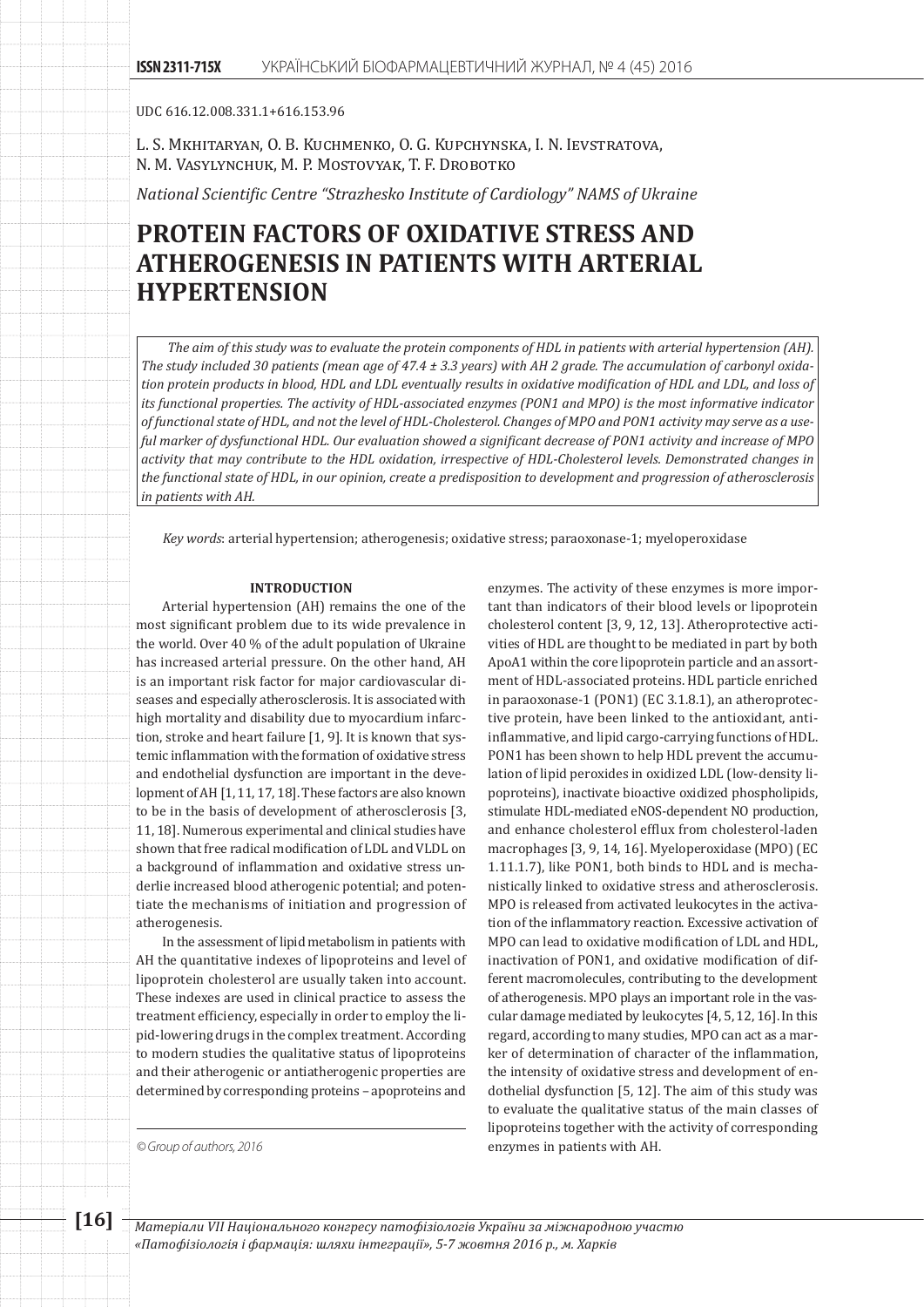UDC 616.12.008.331.1+616.153.96

L. S. Mkhitaryan, O. B. Kuchmenko, O. G. Kupchynska, I. N. Ievstratova, N. M. Vasylynchuk, M. P. Mostovyak, T. F. Drobotko

*National Scientific Centre "Strazhesko Institute of Cardiology" NAMS of Ukraine*

# **PROTEIN FACTORS OF OXIDATIVE STRESS AND ATHEROGENESIS IN PATIENTS WITH ARTERIAL HYPERTENSION**

*The aim of this study was to evaluate the protein components of HDL in patients with arterial hypertension (AH). The study included 30 patients (mean age of 47.4 ± 3.3 years) with AH 2 grade. The accumulation of carbonyl oxidation protein products in blood, HDL and LDL eventually results in oxidative modification of HDL and LDL, and loss of its functional properties. The activity of HDL-associated enzymes (PON1 and MPO) is the most informative indicator of functional state of HDL, and not the level of HDL-Cholesterol. Changes of MPO and PON1 activity may serve as a useful marker of dysfunctional HDL. Our evaluation showed a significant decrease of PON1 activity and increase of MPO activity that may contribute to the HDL oxidation, irrespective of HDL-Cholesterol levels. Demonstrated changes in the functional state of HDL, in our opinion, create a predisposition to development and progression of atherosclerosis in patients with AH.*

*Key words*: arterial hypertension; atherogenesis; oxidative stress; paraoxonase-1; myeloperoxidase

#### **INTRODUCTION**

Arterial hypertension (AH) remains the one of the most significant problem due to its wide prevalence in the world. Over 40 % of the adult population of Ukraine has increased arterial pressure. On the other hand, AH is an important risk factor for major cardiovascular diseases and especially atherosclerosis. It is associated with high mortality and disability due to myocardium infarction, stroke and heart failure [1, 9]. It is known that systemic inflammation with the formation of oxidative stress and endothelial dysfunction are important in the development of AH [1, 11, 17, 18]. These factors are also known to be in the basis of development of atherosclerosis [3, 11, 18]. Numerous experimental and clinical studies have shown that free radical modification of LDL and VLDL on a background of inflammation and oxidative stress underlie increased blood atherogenic potential; and potentiate the mechanisms of initiation and progression of atherogenesis.

In the assessment of lipid metabolism in patients with AH the quantitative indexes of lipoproteins and level of lipoprotein cholesterol are usually taken into account. These indexes are used in clinical practice to assess the treatment efficiency, especially in order to employ the lipid-lowering drugs in the complex treatment. According to modern studies the qualitative status of lipoproteins and their atherogenic or antiatherogenic properties are determined by corresponding proteins – apoproteins and

*© Group of authors, 2016* enzymes in patients with AH.

enzymes. The activity of these enzymes is more important than indicators of their blood levels or lipoprotein cholesterol content [3, 9, 12, 13]. Atheroprotective activities of HDL are thought to be mediated in part by both ApoA1 within the core lipoprotein particle and an assortment of HDL-associated proteins. HDL particle enriched in paraoxonase-1 (PON1) (ЕС 3.1.8.1), an atheroprotective protein, have been linked to the antioxidant, antiinflammative, and lipid cargo-carrying functions of HDL. PON1 has been shown to help HDL prevent the accumulation of lipid peroxides in oxidized LDL (low-density lipoproteins), inactivate bioactive oxidized phospholipids, stimulate HDL-mediated eNOS-dependent NO production, and enhance cholesterol efflux from cholesterol-laden macrophages [3, 9, 14, 16]. Myeloperoxidase (MPO) (ЕС 1.11.1.7), like PON1, both binds to HDL and is mechanistically linked to oxidative stress and atherosclerosis. MPO is released from activated leukocytes in the activation of the inflammatory reaction. Excessive activation of MPO can lead to oxidative modification of LDL and HDL, inactivation of PON1, and oxidative modification of different macromolecules, contributing to the development of atherogenesis. MPO plays an important role in the vascular damage mediated by leukocytes [4, 5, 12, 16]. In this regard, according to many studies, MPO can act as a marker of determination of character of the inflammation, the intensity of oxidative stress and development of endothelial dysfunction [5, 12]. The aim of this study was to evaluate the qualitative status of the main classes of lipoproteins together with the activity of corresponding

**[16]** *Матеріали VІІ Національного конгресу патофізіологів України за міжнародною участю «Патофізіологія і фармація: шляхи інтеграції», 5-7 жовтня 2016 р., м. Харків*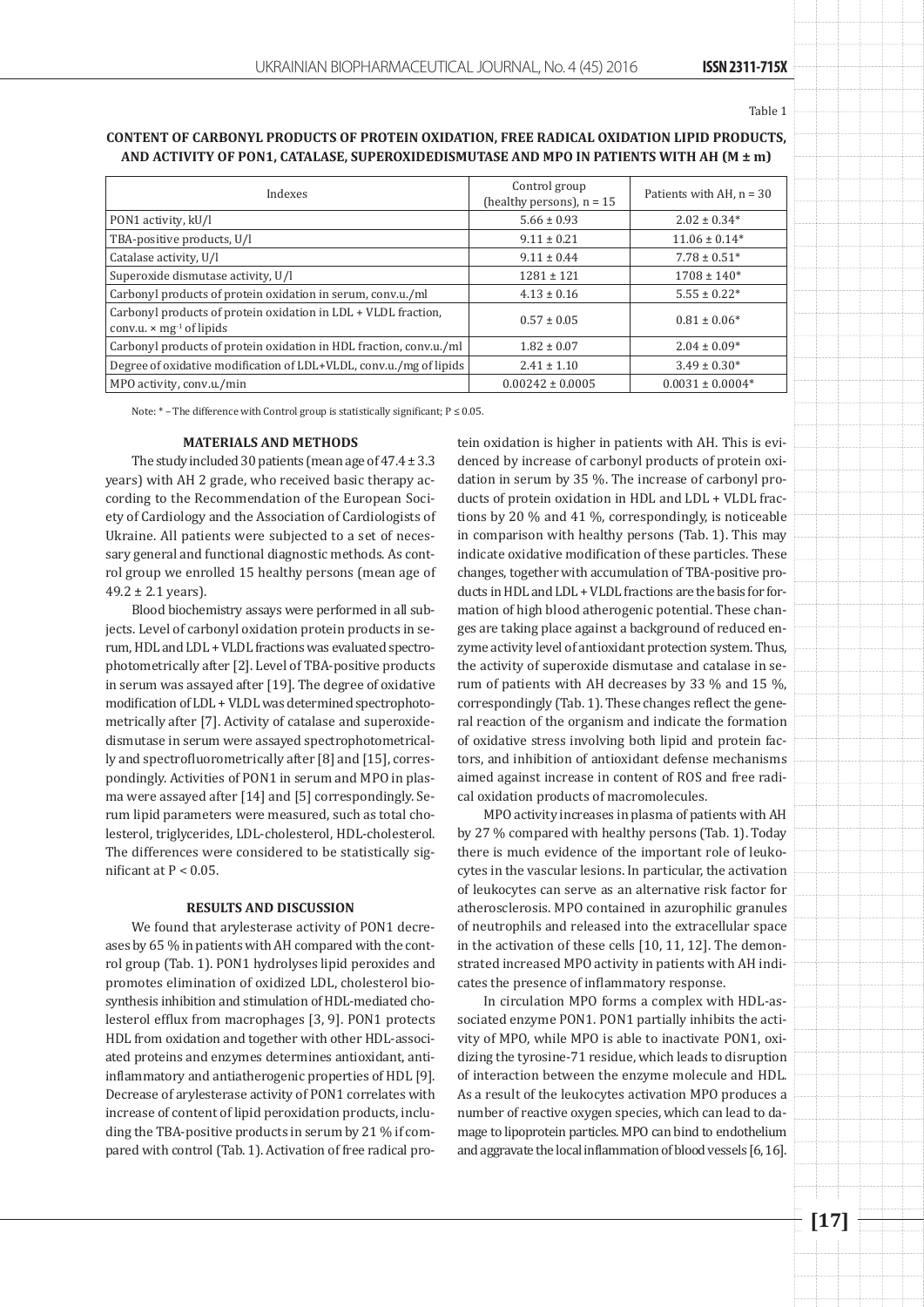Table 1

# **Content of carbonyl products of protein oxidation, free radical oxidation lipid products, and activity of PON1, catalase, superoxidedismutase and MPO in patients with AH (M ± m)**

| Indexes                                                                                                       | Control group<br>(healthy persons), $n = 15$ | Patients with AH, $n = 30$ |
|---------------------------------------------------------------------------------------------------------------|----------------------------------------------|----------------------------|
| PON1 activity, kU/l                                                                                           | $5.66 \pm 0.93$                              | $2.02 \pm 0.34*$           |
| TBA-positive products, U/l                                                                                    | $9.11 \pm 0.21$                              | $11.06 \pm 0.14*$          |
| Catalase activity, U/l                                                                                        | $9.11 \pm 0.44$                              | $7.78 \pm 0.51*$           |
| Superoxide dismutase activity, U/l                                                                            | $1281 \pm 121$                               | $1708 \pm 140*$            |
| Carbonyl products of protein oxidation in serum, conv.u./ml                                                   | $4.13 \pm 0.16$                              | $5.55 \pm 0.22*$           |
| Carbonyl products of protein oxidation in LDL + VLDL fraction,<br>conv.u. $\times$ mg <sup>-1</sup> of lipids | $0.57 \pm 0.05$                              | $0.81 \pm 0.06*$           |
| Carbonyl products of protein oxidation in HDL fraction, conv.u./ml                                            | $1.82 \pm 0.07$                              | $2.04 \pm 0.09*$           |
| Degree of oxidative modification of LDL+VLDL, conv.u./mg of lipids                                            | $2.41 \pm 1.10$                              | $3.49 \pm 0.30*$           |
| MPO activity, conv.u./min                                                                                     | $0.00242 \pm 0.0005$                         | $0.0031 \pm 0.0004*$       |

Note: \* – The difference with Control group is statistically significant; P ≤ 0.05.

#### **MATERIALS AND METHODS**

The study included 30 patients (mean age of  $47.4 \pm 3.3$ ) years) with AH 2 grade, who received basic therapy according to the Recommendation of the European Society of Cardiology and the Association of Cardiologists of Ukraine. All patients were subjected to a set of necessary general and functional diagnostic methods. As control group we enrolled 15 healthy persons (mean age of  $49.2 \pm 2.1$  years).

Blood biochemistry assays were performed in all subjects. Level of carbonyl oxidation protein products in serum, HDL and LDL + VLDL fractions was evaluated spectrophotometrically after [2]. Level of TBA-positive products in serum was assayed after [19]. The degree of oxidative modification of LDL + VLDL was determined spectrophotometrically after [7]. Activity of catalase and superoxidedismutase in serum were assayed spectrophotometrically and spectrofluorometrically after [8] and [15], correspondingly. Activities of PON1 in serum and MPO in plasma were assayed after [14] and [5] correspondingly. Serum lipid parameters were measured, such as total cholesterol, triglycerides, LDL-cholesterol, HDL-cholesterol. The differences were considered to be statistically significant at  $P < 0.05$ .

# **RESULTS AND DISCUSSION**

We found that arylesterase activity of PON1 decreases by 65 % in patients with AH compared with the control group (Tab. 1). PON1 hydrolyses lipid peroxides and promotes elimination of oxidized LDL, cholesterol biosynthesis inhibition and stimulation of HDL-mediated cholesterol efflux from macrophages [3, 9]. PON1 protects HDL from oxidation and together with other HDL-associated proteins and enzymes determines antioxidant, antiinflammatory and antiatherogenic properties of HDL [9]. Decrease of arylesterase activity of PON1 correlates with increase of content of lipid peroxidation products, including the TBA-positive products in serum by 21 % if compared with control (Tab. 1). Activation of free radical protein oxidation is higher in patients with AH. This is evidenced by increase of carbonyl products of protein oxidation in serum by 35 %. The increase of carbonyl products of protein oxidation in HDL and LDL + VLDL fractions by 20 % and 41 %, correspondingly, is noticeable in comparison with healthy persons (Tab. 1). This may indicate oxidative modification of these particles. These changes, together with accumulation of TBA-positive products in HDL and LDL + VLDL fractions are the basis for formation of high blood atherogenic potential. These changes are taking place against a background of reduced enzyme activity level of antioxidant protection system. Thus, the activity of superoxide dismutase and catalase in serum of patients with AH decreases by 33 % and 15 %, correspondingly (Tab. 1). These changes reflect the general reaction of the organism and indicate the formation of oxidative stress involving both lipid and protein factors, and inhibition of antioxidant defense mechanisms aimed against increase in content of ROS and free radical oxidation products of macromolecules.

MPO activity increases in plasma of patients with AH by 27 % compared with healthy persons (Tab. 1). Today there is much evidence of the important role of leukocytes in the vascular lesions. In particular, the activation of leukocytes can serve as an alternative risk factor for atherosclerosis. MPO contained in azurophilic granules of neutrophils and released into the extracellular space in the activation of these cells [10, 11, 12]. The demonstrated increased MPO activity in patients with AH indicates the presence of inflammatory response.

In circulation MPO forms a complex with HDL-associated enzyme PON1. PON1 partially inhibits the activity of MPO, while MPO is able to inactivate PON1, oxidizing the tyrosine-71 residue, which leads to disruption of interaction between the enzyme molecule and HDL. As a result of the leukocytes activation MPO produces a number of reactive oxygen species, which can lead to damage to lipoprotein particles. MPO can bind to endothelium and aggravate the local inflammation of blood vessels [6, 16].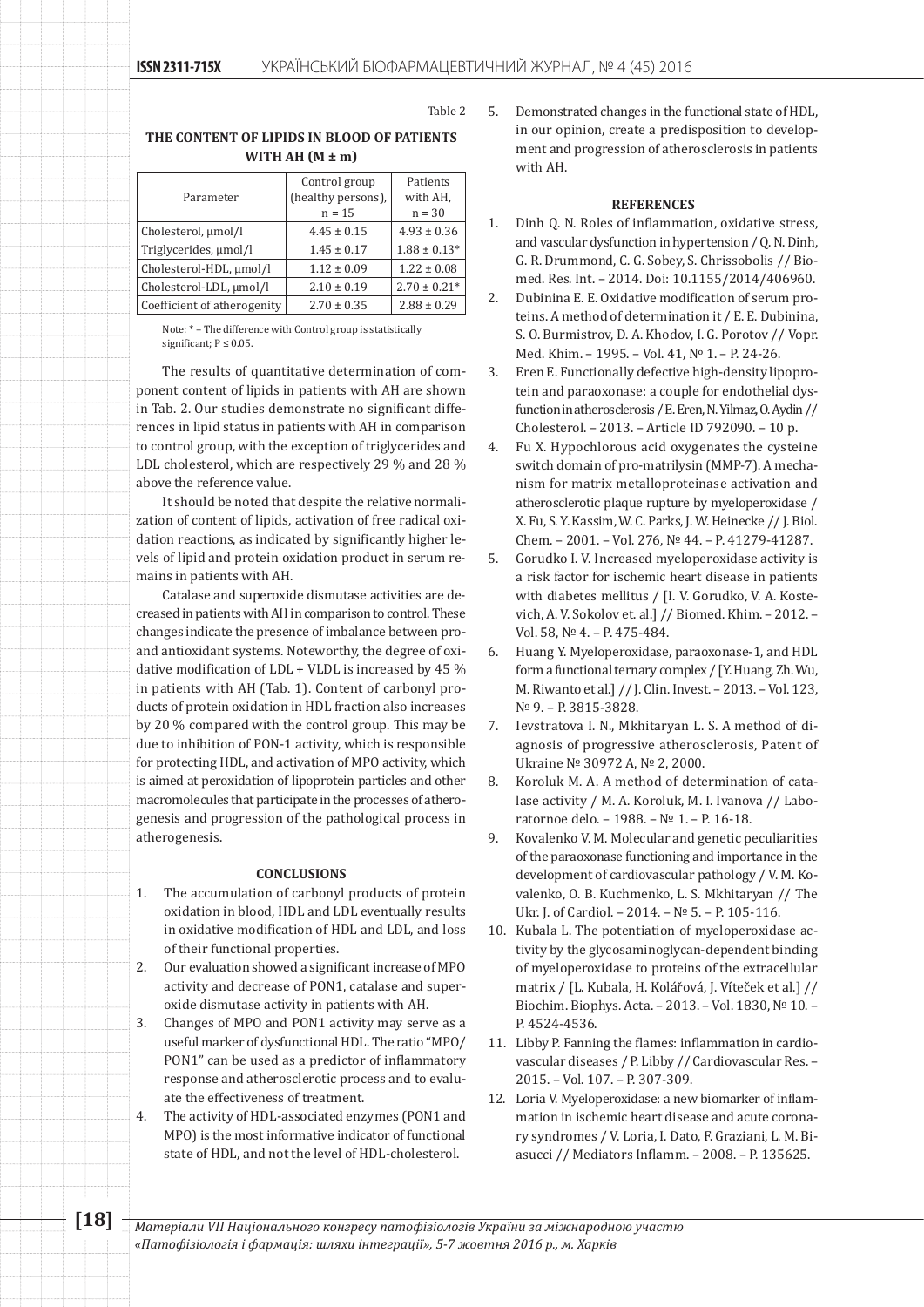Table 2

# **The content of lipids in blood of patients with AH (M ± m)**

|                             | Control group      | Patients         |
|-----------------------------|--------------------|------------------|
| Parameter                   | (healthy persons), | with AH,         |
|                             | $n = 15$           | $n = 30$         |
| Cholesterol, µmol/l         | $4.45 \pm 0.15$    | $4.93 \pm 0.36$  |
| Triglycerides, µmol/l       | $1.45 \pm 0.17$    | $1.88 \pm 0.13*$ |
| Cholesterol-HDL, umol/l     | $1.12 \pm 0.09$    | $1.22 \pm 0.08$  |
| Cholesterol-LDL, umol/l     | $2.10 \pm 0.19$    | $2.70 \pm 0.21*$ |
| Coefficient of atherogenity | $2.70 \pm 0.35$    | $2.88 \pm 0.29$  |

Note: \* – The difference with Control group is statistically significant;  $P \leq 0.05$ .

The results of quantitative determination of component content of lipids in patients with AH are shown in Tab. 2. Our studies demonstrate no significant differences in lipid status in patients with AH in comparison to control group, with the exception of triglycerides and LDL cholesterol, which are respectively 29 % and 28 % above the reference value.

It should be noted that despite the relative normalization of content of lipids, activation of free radical oxidation reactions, as indicated by significantly higher levels of lipid and protein oxidation product in serum remains in patients with AH.

Catalase and superoxide dismutase activities are decreased in patients with AH in comparison to control. These changes indicate the presence of imbalance between proand antioxidant systems. Noteworthy, the degree of oxidative modification of LDL + VLDL is increased by 45 % in patients with AH (Tab. 1). Content of carbonyl products of protein oxidation in HDL fraction also increases by 20 % compared with the control group. This may be due to inhibition of PON-1 activity, which is responsible for protecting HDL, and activation of MPO activity, which is aimed at peroxidation of lipoprotein particles and other macromolecules that participate in the processes of atherogenesis and progression of the pathological process in atherogenesis.

#### **CONCLUSIoNS**

- 1. The accumulation of carbonyl products of protein oxidation in blood, HDL and LDL eventually results in oxidative modification of HDL and LDL, and loss of their functional properties.
- 2. Our evaluation showed a significant increase of MPO activity and decrease of PON1, catalase and superoxide dismutase activity in patients with AH.
- 3. Changes of MPO and PON1 activity may serve as a useful marker of dysfunctional HDL. The ratio "MPO/ PON1" can be used as a predictor of inflammatory response and atherosclerotic process and to evaluate the effectiveness of treatment.
- 4. The activity of HDL-associated enzymes (PON1 and MPO) is the most informative indicator of functional state of HDL, and not the level of HDL-cholesterol.

5. Demonstrated changes in the functional state of HDL, in our opinion, create a predisposition to development and progression of atherosclerosis in patients with AH.

# **References**

- 1. Dinh Q. N. Roles of inflammation, oxidative stress, and vascular dysfunction in hypertension / Q. N. Dinh, G. R. Drummond, C. G. Sobey, S. Chrissobolis // Biomed. Res. Int. – 2014. Doi: 10.1155/2014/406960.
- 2. Dubinina Е. Е. Oxidative modification of serum proteins. A method of determination it / Е. Е. Dubinina, S. O. Burmistrov, D. A. Khodov, I. G. Porotov // Vopr. Med. Khim. – 1995. – Vol. 41, № 1. – P. 24-26.
- 3. Eren E. Functionally defective high-density lipoprotein and paraoxonase: a couple for endothelial dysfunction in atherosclerosis / E. Eren, N. Yilmaz, O. Aydin // Cholesterol. – 2013. – Article ID 792090. – 10 p.
- 4. Fu X. Hypochlorous acid oxygenates the cysteine switch domain of pro-matrilysin (MMP-7). A mechanism for matrix metalloproteinase activation and atherosclerotic plaque rupture by myeloperoxidase / X. Fu, S. Y. Kassim, W. C. Parks, J. W. Heinecke // J. Biol. Chem. – 2001. – Vol. 276, № 44. – P. 41279-41287.
- 5. Gorudko I. V. Increased myeloperoxidase activity is a risk factor for ischemic heart disease in patients with diabetes mellitus / [I. V. Gorudko, V. A. Kostevich, A. V. Sokolov et. al.] // Biomed. Khim. – 2012. – Vol. 58, № 4. – P. 475-484.
- 6. Huang Y. Myeloperoxidase, paraoxonase-1, and HDL form a functional ternary complex / [Y. Huang, Zh. Wu, M. Riwanto et al.] // J. Clin. Invest. – 2013. – Vol. 123, № 9. – P. 3815-3828.
- 7. Ievstratova I. N., Mkhitaryan L. S. A method of diagnosis of progressive atherosclerosis, Patent of Ukraine № 30972 А, № 2, 2000.
- 8. Koroluk M. A. A method of determination of catalase activity / M. A. Koroluk, M. I. Ivanova // Laboratornoe delo. – 1988. – № 1. – P. 16-18.
- 9. Kovalenko V. M. Molecular and genetic peculiarities of the paraoxonase functioning and importance in the development of cardiovascular pathology / V. M. Kovalenko, O. B. Kuchmenko, L. S. Mkhitaryan // The Ukr. J. of Cardiol. – 2014. – № 5. – P. 105-116.
- 10. Kubala L. The potentiation of myeloperoxidase activity by the glycosaminoglycan-dependent binding of myeloperoxidase to proteins of the extracellular matrix / [L. Kubala, H. Kolářová, J. Víteček et al.] // Biochim. Biophys. Acta. – 2013. – Vol. 1830, № 10. – P. 4524-4536.
- 11. Libby P. Fanning the flames: inflammation in cardiovascular diseases / P. Libby // Cardiovascular Res. – 2015. – Vol. 107. – P. 307-309.
- 12. Loria V. Myeloperoxidase: a new biomarker of inflammation in ischemic heart disease and acute coronary syndromes / V. Loria, I. Dato, F. Graziani, L. M. Biasucci // Mediators Inflamm. – 2008. – P. 135625.

**[18]** *Матеріали VІІ Національного конгресу патофізіологів України за міжнародною участю «Патофізіологія і фармація: шляхи інтеграції», 5-7 жовтня 2016 р., м. Харків*